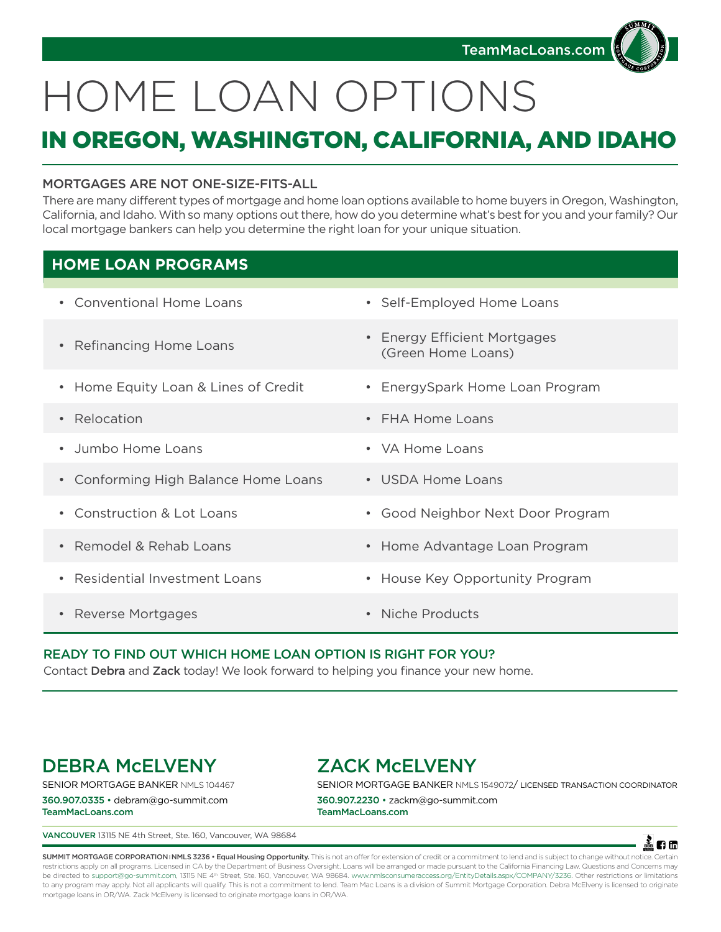

# HOME LOAN OPTIONS

# IN OREGON, WASHINGTON, CALIFORNIA, AND IDAHO

## MORTGAGES ARE NOT ONE-SIZE-FITS-ALL

There are many different types of mortgage and home loan options available to home buyers in Oregon, Washington, California, and Idaho. With so many options out there, how do you determine what's best for you and your family? Our local mortgage bankers can help you determine the right loan for your unique situation.

# **HOME LOAN PROGRAMS**

| • Conventional Home Loans            | • Self-Employed Home Loans                                           |
|--------------------------------------|----------------------------------------------------------------------|
| • Refinancing Home Loans             | <b>Energy Efficient Mortgages</b><br>$\bullet$<br>(Green Home Loans) |
| • Home Equity Loan & Lines of Credit | • EnergySpark Home Loan Program                                      |
| • Relocation                         | $\cdot$ FHA Home Loans                                               |
| • Jumbo Home Loans                   | • VA Home Loans                                                      |
| • Conforming High Balance Home Loans | • USDA Home Loans                                                    |
| • Construction & Lot Loans           | Good Neighbor Next Door Program<br>$\bullet$                         |
| • Remodel & Rehab Loans              | • Home Advantage Loan Program                                        |
| • Residential Investment Loans       | • House Key Opportunity Program                                      |
| • Reverse Mortgages                  | Niche Products<br>$\bullet$                                          |

## READY TO FIND OUT WHICH HOME LOAN OPTION IS RIGHT FOR YOU?

Contact Debra and Zack today! We look forward to helping you finance your new home.

# DEBRA McELVENY

SENIOR MORTGAGE BANKER NMLS 104467

360.907.0335 • debram@go-summit.com TeamMacLoans.com

# ZACK McELVENY

SENIOR MORTGAGE BANKER NMLS 1549072/ LICENSED TRANSACTION COORDINATOR

360.907.2230 • zackm@go-summit.com TeamMacLoans.com

VANCOUVER 13115 NE 4th Street, Ste. 160, Vancouver, WA 98684



SUMMIT MORTGAGE CORPORATION INMLS 3236 • Equal Housing Opportunity. This is not an offer for extension of credit or a commitment to lend and is subject to change without notice. Certain restrictions apply on all programs. Licensed in CA by the Department of Business Oversight. Loans will be arranged or made pursuant to the California Financing Law. Questions and Concerns may be directed to support@go-summit.com, 13115 NE 4<sup>th</sup> Street, Ste. 160, Vancouver, WA 98684. www.nmlsconsumeraccess.org/EntityDetails.aspx/COMPANY/3236. Other restrictions or limitations to any program may apply. Not all applicants will qualify. This is not a commitment to lend. Team Mac Loans is a division of Summit Mortgage Corporation. Debra McElveny is licensed to originate mortgage loans in OR/WA. Zack McElveny is licensed to originate mortgage loans in OR/WA.